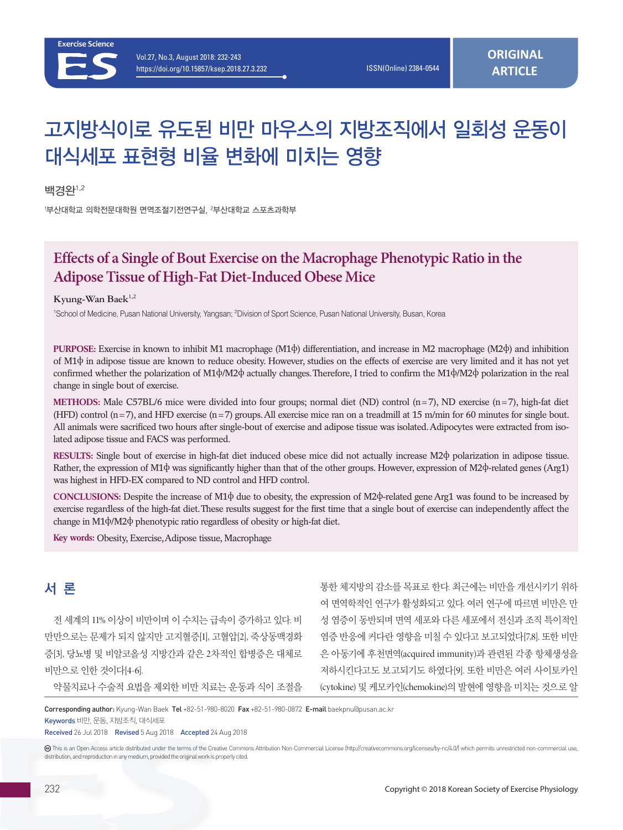

# 고지방식이로 유도된 비만 마우스의 지방조직에서 일회성 운동이 대식세포 표현형 비율 변화에 미치는 영향

백경완1,2

<sup>1</sup>부산대학교 의학전문대학원 면역조절기전연구실, <sup>2</sup>부산대학교 스포츠과학부

# **Effects of a Single of Bout Exercise on the Macrophage Phenotypic Ratio in the Adipose Tissue of High-Fat Diet-Induced Obese Mice**

Kyung-Wan Baek<sup>1,2</sup>

1 School of Medicine, Pusan National University, Yangsan; 2 Division of Sport Science, Pusan National University, Busan, Korea

**PURPOSE:** Exercise in known to inhibit M1 macrophage (M1ф) differentiation, and increase in M2 macrophage (M2ф) and inhibition of M1ф in adipose tissue are known to reduce obesity. However, studies on the effects of exercise are very limited and it has not yet confirmed whether the polarization of M1ф/M2ф actually changes. Therefore, I tried to confirm the M1ф/M2ф polarization in the real change in single bout of exercise.

**METHODS:** Male C57BL/6 mice were divided into four groups; normal diet (ND) control  $(n=7)$ , ND exercise  $(n=7)$ , high-fat diet (HFD) control  $(n=7)$ , and HFD exercise  $(n=7)$  groups. All exercise mice ran on a treadmill at 15 m/min for 60 minutes for single bout. All animals were sacrificed two hours after single-bout of exercise and adipose tissue was isolated. Adipocytes were extracted from isolated adipose tissue and FACS was performed.

**RESULTS:** Single bout of exercise in high-fat diet induced obese mice did not actually increase M2ф polarization in adipose tissue. Rather, the expression of M1ф was significantly higher than that of the other groups. However, expression of M2ф-related genes (Arg1) was highest in HFD-EX compared to ND control and HFD control.

**CONCLUSIONS:** Despite the increase of M1ф due to obesity, the expression of M2ф-related gene Arg1 was found to be increased by exercise regardless of the high-fat diet. These results suggest for the first time that a single bout of exercise can independently affect the change in M1ф/M2ф phenotypic ratio regardless of obesity or high-fat diet.

**Key words:** Obesity, Exercise, Adipose tissue, Macrophage

# 서 론

전 세계의 11% 이상이 비만이며 이 수치는 급속이 증가하고 있다. 비 만만으로는 문제가 되지 않지만 고지혈증[1], 고혈압[2], 죽상동맥경화 증[3], 당뇨병 및 비알코올성 지방간과 같은 2차적인 합병증은 대체로 비만으로 인한 것이다[4-6].

통한 체지방의 감소를 목표로 한다. 최근에는 비만을 개선시키기 위하 여 면역학적인 연구가 활성화되고 있다. 여러 연구에 따르면 비만은 만 성 염증이 동반되며 면역 세포와 다른 세포에서 전신과 조직 특이적인 염증 반응에 커다란 영향을 미칠 수 있다고 보고되었다[7,8]. 또한 비만 은 아동기에 후천면역(acquired immunity)과 관련된 각종 항체생성을 저하시킨다고도 보고되기도 하였다[9]. 또한 비만은 여러 사이토카인 (cytokine) 및 케모카인(chemokine)의 발현에 영향을 미치는 것으로 알

약물치료나 수술적 요법을 제외한 비만 치료는 운동과 식이 조절을

Corresponding author: Kyung-Wan Baek Tel +82-51-980-8020 Fax +82-51-980-0872 E-mail baekpnu@pusan.ac.kr

Keywords 비만, 운동, 지방조직, 대식세포

Received 26 Jul 2018 Revised 5 Aug 2018 Accepted 24 Aug 2018

 This is an Open Access article distributed under the terms of the Creative Commons Attribution Non-Commercial License (http://creativecommons.org/licenses/by-nc/4.0/) which permits unrestricted non-commercial use, distribution, and reproduction in any medium, provided the original work is properly cited.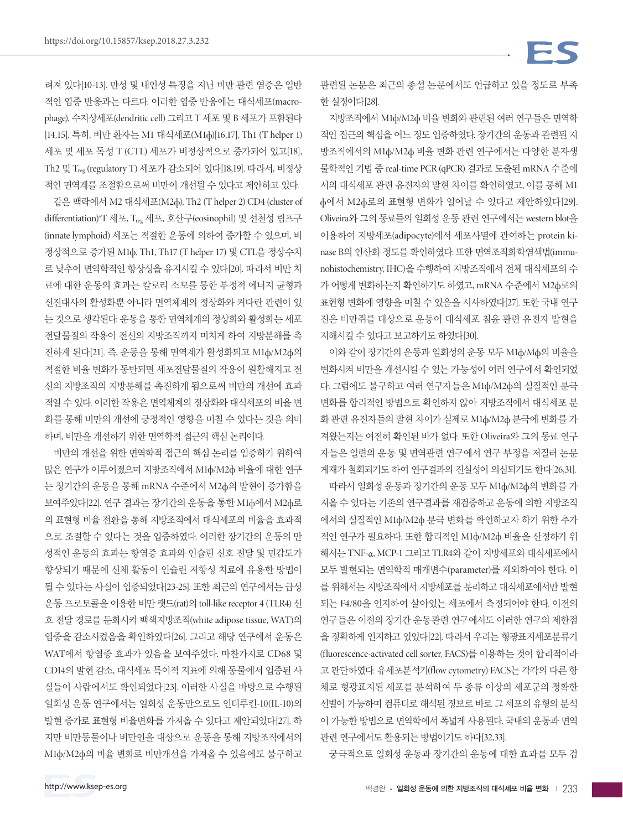려져 있다[10-13]. 만성 및 내인성 특징을 지닌 비만 관련 염증은 일반 적인 염증 반응과는 다르다. 이러한 염증 반응에는 대식세포(macrophage), 수지상세포(dendritic cell) 그리고 T 세포 및 B 세포가 포함된다 [14,15]. 특히, 비만 환자는 M1 대식세포(M1ф)[16,17], Th1 (T helper 1) 세포 및 세포 독성 T (CTL) 세포가 비정상적으로 증가되어 있고[18], Th2 및 Treg (regulatory T) 세포가 감소되어 있다[18,19]. 따라서, 비정상 적인 면역계를 조절함으로써 비만이 개선될 수 있다고 제안하고 있다.

같은 맥락에서 M2 대식세포(M2ф), Th2 (T helper 2) CD4 (cluster of differentiation)+ T 세포, Treg 세포, 호산구(eosinophil) 및 선천성 림프구 (innate lymphoid) 세포는 적절한 운동에 의하여 증가할 수 있으며, 비 정상적으로 증가된 M1ф, Th1, Th17 (T helper 17) 및 CTL을 정상수치 로 낮추어 면역학적인 항상성을 유지시킬 수 있다[20]. 따라서 비만 치 료에 대한 운동의 효과는 칼로리 소모를 통한 부정적 에너지 균형과 신진대사의 활성화뿐 아니라 면역체계의 정상화와 커다란 관련이 있 는 것으로 생각된다. 운동을 통한 면역체계의 정상화와 활성화는 세포 전달물질의 작용이 전신의 지방조직까지 미치게 하여 지방분해를 촉 진하게 된다[21]. 즉, 운동을 통해 면역계가 활성화되고 M1ф/M2ф의 적절한 비율 변화가 동반되면 세포전달물질의 작용이 원활해지고 전 신의 지방조직의 지방분해를 촉진하게 됨으로써 비만의 개선에 효과 적일 수 있다. 이러한 작용은 면역체계의 정상화와 대식세포의 비율 변 화를 통해 비만의 개선에 긍정적인 영향을 미칠 수 있다는 것을 의미 하며, 비만을 개선하기 위한 면역학적 접근의 핵심 논리이다.

비만의 개선을 위한 면역학적 접근의 핵심 논리를 입증하기 위하여 많은 연구가 이루어졌으며 지방조직에서 M1ф/M2ф 비율에 대한 연구 는 장기간의 운동을 통해 mRNA 수준에서 M2ф의 발현이 증가함을 보여주었다[22]. 연구 결과는 장기간의 운동을 통한 M1ф에서 M2ф로 의 표현형 비율 전환을 통해 지방조직에서 대식세포의 비율을 효과적 으로 조절할 수 있다는 것을 입증하였다. 이러한 장기간의 운동의 만 성적인 운동의 효과는 항염증 효과와 인슐린 신호 전달 및 민감도가 향상되기 때문에 신체 활동이 인슐린 저항성 치료에 유용한 방법이 될 수 있다는 사실이 입증되었다[23-25]. 또한 최근의 연구에서는 급성 운동 프로토콜을 이용한 비만 랫드(rat)의 toll-like receptor 4 (TLR4) 신 호 전달 경로를 둔화시켜 백색지방조직(white adipose tissue, WAT)의 염증을 감소시켰음을 확인하였다[26]. 그리고 해당 연구에서 운동은 WAT에서 항염증 효과가 있음을 보여주었다. 마찬가지로 CD68 및 CD14의 발현 감소, 대식세포 특이적 지표에 의해 동물에서 입증된 사 실들이 사람에서도 확인되었다[23]. 이러한 사실을 바탕으로 수행된 일회성 운동 연구에서는 일회성 운동만으로도 인터루킨-10(IL-10)의 발현 증가로 표현형 비율변화를 가져올 수 있다고 제안되었다[27]. 하 지만 비만동물이나 비만인을 대상으로 운동을 통해 지방조직에서의 M1ф/M2ф의 비율 변화로 비만개선을 가져올 수 있음에도 불구하고 관련된 논문은 최근의 종설 논문에서도 언급하고 있을 정도로 부족 한 실정이다[28].

지방조직에서 M1ф/M2ф 비율 변화와 관련된 여러 연구들은 면역학 적인 접근의 핵심을 어느 정도 입증하였다. 장기간의 운동과 관련된 지 방조직에서의 M1ф/M2ф 비율 변화 관련 연구에서는 다양한 분자생 물학적인 기법 중 real-time PCR (qPCR) 결과로 도출된 mRNA 수준에 서의 대식세포 관련 유전자의 발현 차이를 확인하였고, 이를 통해 M1 ф에서 M2ф로의 표현형 변화가 일어날 수 있다고 제안하였다[29]. Oliveira와 그의 동료들의 일회성 운동 관련 연구에서는 western blot을 이용하여 지방세포(adipocyte)에서 세포사멸에 관여하는 protein kinase B의 인산화 정도를 확인하였다. 또한 면역조직화학염색법(immunohistochemistry, IHC)을 수행하여 지방조직에서 전체 대식세포의 수 가 어떻게 변화하는지 확인하기도 하였고, mRNA 수준에서 M2ф로의 표현형 변화에 영향을 미칠 수 있음을 시사하였다[27]. 또한 국내 연구 진은 비만쥐를 대상으로 운동이 대식세포 침윤 관련 유전자 발현을 저해시킬 수 있다고 보고하기도 하였다[30].

이와 같이 장기간의 운동과 일회성의 운동 모두 M1ф/Mф의 비율을 변화시켜 비만을 개선시킬 수 있는 가능성이 여러 연구에서 확인되었 다. 그럼에도 불구하고 여러 연구자들은 M1ф/M2ф의 실질적인 분극 변화를 합리적인 방법으로 확인하지 않아 지방조직에서 대식세포 분 화 관련 유전자들의 발현 차이가 실제로 M1ф/M2ф 분극에 변화를 가 져왔는지는 여전히 확인된 바가 없다. 또한 Oliveira와 그의 동료 연구 자들은 일련의 운동 및 면역관련 연구에서 연구 부정을 저질러 논문 게재가 철회되기도 하여 연구결과의 진실성이 의심되기도 한다[26,31].

따라서 일회성 운동과 장기간의 운동 모두 M1ф/M2ф의 변화를 가 져올 수 있다는 기존의 연구결과를 재검증하고 운동에 의한 지방조직 에서의 실질적인 M1ф/M2ф 분극 변화를 확인하고자 하기 위한 추가 적인 연구가 필요하다. 또한 합리적인 M1ф/M2ф 비율을 산정하기 위 해서는 TNF-α, MCP-1 그리고 TLR4와 같이 지방세포와 대식세포에서 모두 발현되는 면역학적 매개변수(parameter)를 제외하여야 한다. 이 를 위해서는 지방조직에서 지방세포를 분리하고 대식세포에서만 발현 되는 F4/80을 인지하여 살아있는 세포에서 측정되어야 한다. 이전의 연구들은 이전의 장기간 운동관련 연구에서도 이러한 연구의 제한점 을 정확하게 인지하고 있었다[22]. 따라서 우리는 형광표지세포분류기 (fluorescence-activated cell sorter, FACS)를 이용하는 것이 합리적이라 고 판단하였다. 유세포분석기(flow cytometry) FACS는 각각의 다른 항 체로 형광표지된 세포를 분석하여 두 종류 이상의 세포군의 정확한 선별이 가능하며 컴퓨터로 해석된 정보로 바로 그 세포의 유형의 분석 이 가능한 방법으로 면역학에서 폭넓게 사용된다. 국내의 운동과 면역 관련 연구에서도 활용되는 방법이기도 하다[32,33].

궁극적으로 일회성 운동과 장기간의 운동에 대한 효과를 모두 검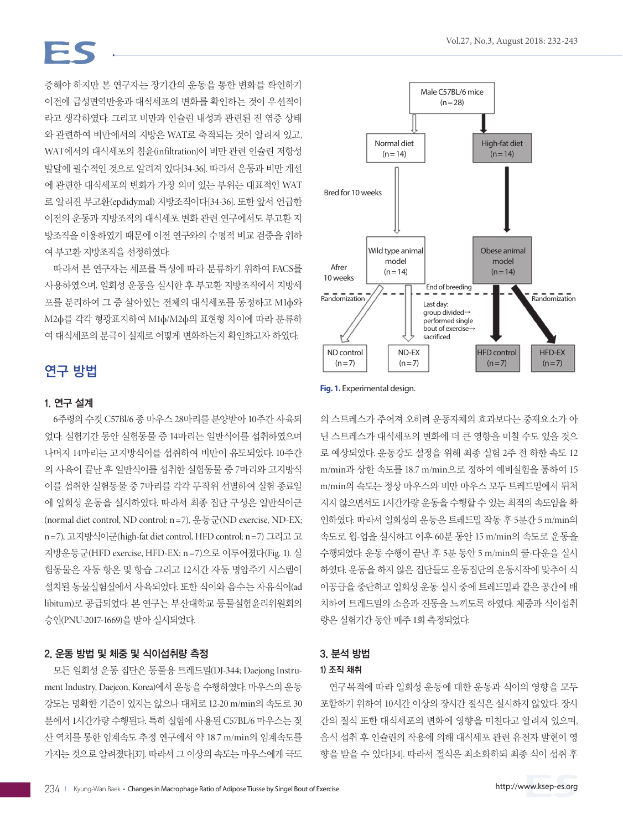# $\equiv$   $\subset$

증해야 하지만 본 연구자는 장기간의 운동을 통한 변화를 확인하기 이전에 급성면역반응과 대식세포의 변화를 확인하는 것이 우선적이 라고 생각하였다. 그리고 비만과 인슐린 내성과 관련된 전 염증 상태 와 관련하여 비만에서의 지방은 WAT로 축적되는 것이 알려져 있고, WAT에서의 대식세포의 침윤(infiltration)이 비만 관련 인슐린 저항성 발달에 필수적인 것으로 알려져 있다[34-36]. 따라서 운동과 비만 개선 에 관련한 대식세포의 변화가 가장 의미 있는 부위는 대표적인 WAT 로 알려진 부고환(epdidymal) 지방조직이다[34-36]. 또한 앞서 언급한 이전의 운동과 지방조직의 대식세포 변화 관련 연구에서도 부고환 지 방조직을 이용하였기 때문에 이전 연구와의 수평적 비교 검증을 위하 여 부고환 지방조직을 선정하였다.

따라서 본 연구자는 세포를 특성에 따라 분류하기 위하여 FACS를 사용하였으며, 일회성 운동을 실시한 후 부고환 지방조직에서 지방세 포를 분리하여 그 중 살아있는 전체의 대식세포를 동정하고 M1ф와 M2ф를 각각 형광표지하여 M1ф/M2ф의 표현형 차이에 따라 분류하 여 대식세포의 분극이 실제로 어떻게 변화하는지 확인하고자 하였다.

## 연구 방법

#### 1. 연구 설계

6주령의 수컷 C57Bl/6 종 마우스 28마리를 분양받아 10주간 사육되 었다. 실험기간 동안 실험동물 중 14마리는 일반식이를 섭취하였으며 나머지 14마리는 고지방식이를 섭취하여 비만이 유도되었다. 10주간 의 사육이 끝난 후 일반식이를 섭취한 실험동물 중 7마리와 고지방식 이를 섭취한 실험동물 중 7마리를 각각 무작위 선별하여 실험 종료일 에 일회성 운동을 실시하였다. 따라서 최종 집단 구성은 일반식이군 (normal diet control, ND control;  $n=7$ ),  $\frac{9}{27} \frac{1}{5}$ ; (ND exercise, ND-EX; n = 7), 고지방식이군(high-fat diet control, HFD control; n = 7) 그리고 고 지방운동군(HFD exercise, HFD-EX; n =7)으로 이루어졌다(Fig. 1). 실 험동물은 자동 항온 및 항습 그리고 12시간 자동 명암주기 시스템이 설치된 동물실험실에서 사육되었다. 또한 식이와 음수는 자유식이(ad libitum)로 공급되었다. 본 연구는 부산대학교 동물실험윤리위원회의 승인(PNU-2017-1669)을 받아 실시되었다.

#### 2. 운동 방법 및 체중 및 식이섭취량 측정

모든 일회성 운동 집단은 동물용 트레드밀(DJ-344; Daejong Instrument Industry, Daejeon, Korea)에서 운동을 수행하였다. 마우스의 운동 강도는 명확한 기준이 있지는 않으나 대체로 12-20 m/min의 속도로 30 분에서 1시간가량 수행된다. 특히 실험에 사용된 C57BL/6 마우스는 젖 산 역치를 통한 임계속도 추정 연구에서 약 18.7 m/min의 임계속도를 가지는 것으로 알려졌다[37]. 따라서 그 이상의 속도는 마우스에게 극도



**Fig. 1.** Experimental design.

의 스트레스가 주어져 오히려 운동자체의 효과보다는 중재요소가 아 닌 스트레스가 대식세포의 변화에 더 큰 영향을 미칠 수도 있을 것으 로 예상되었다. 운동강도 설정을 위해 최종 실험 2주 전 하한 속도 12 m/min과 상한 속도를 18.7 m/min으로 정하여 예비실험을 통하여 15 m/min의 속도는 정상 마우스와 비만 마우스 모두 트레드밀에서 뒤처 지지 않으면서도 1시간가량 운동을 수행할 수 있는 최적의 속도임을 확 인하였다. 따라서 일회성의 운동은 트레드밀 작동 후 5분간 5 m/min의 속도로 웜-업을 실시하고 이후 60분 동안 15 m/min의 속도로 운동을 수행되었다. 운동 수행이 끝난 후 5분 동안 5 m/min의 쿨-다운을 실시 하였다. 운동을 하지 않은 집단들도 운동집단의 운동시작에 맞추어 식 이공급을 중단하고 일회성 운동 실시 중에 트레드밀과 같은 공간에 배 치하여 트레드밀의 소음과 진동을 느끼도록 하였다. 체중과 식이섭취 량은 실험기간 동안 매주 1회 측정되었다.

#### 3. 분석 방법

#### 1) 조직 채취

연구목적에 따라 일회성 운동에 대한 운동과 식이의 영향을 모두 포함하기 위하여 10시간 이상의 장시간 절식은 실시하지 않았다. 장시 간의 절식 또한 대식세포의 변화에 영향을 미친다고 알려져 있으며, 음식 섭취 후 인슐린의 작용에 의해 대식세포 관련 유전자 발현이 영 향을 받을 수 있다[34]. 따라서 절식은 최소화하되 최종 식이 섭취 후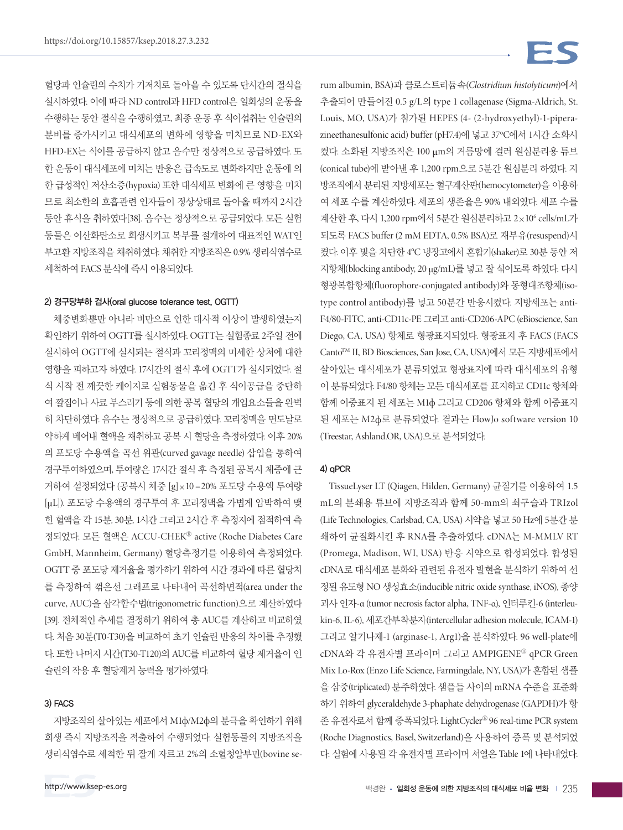혈당과 인슐린의 수치가 기저치로 돌아올 수 있도록 단시간의 절식을 실시하였다. 이에 따라 ND control과 HFD control은 일회성의 운동을 수행하는 동안 절식을 수행하였고, 최종 운동 후 식이섭취는 인슐린의 분비를 증가시키고 대식세포의 변화에 영향을 미치므로 ND-EX와 HFD-EX는 식이를 공급하지 않고 음수만 정상적으로 공급하였다. 또 한 운동이 대식세포에 미치는 반응은 급속도로 변화하지만 운동에 의 한 급성적인 저산소증(hypoxia) 또한 대식세포 변화에 큰 영향을 미치 므로 최소한의 호흡관련 인자들이 정상상태로 돌아올 때까지 2시간 동안 휴식을 취하였다[38]. 음수는 정상적으로 공급되었다. 모든 실험 동물은 이산화탄소로 희생시키고 복부를 절개하여 대표적인 WAT인 부고환 지방조직을 채취하였다. 채취한 지방조직은 0.9% 생리식염수로 세척하여 FACS 분석에 즉시 이용되었다.

#### 2) 경구당부하 검사(oral glucose tolerance test, OGTT)

체중변화뿐만 아니라 비만으로 인한 대사적 이상이 발생하였는지 확인하기 위하여 OGTT를 실시하였다. OGTT는 실험종료 2주일 전에 실시하여 OGTT에 실시되는 절식과 꼬리정맥의 미세한 상처에 대한 영향을 피하고자 하였다. 17시간의 절식 후에 OGTT가 실시되었다. 절 식 시작 전 깨끗한 케이지로 실험동물을 옮긴 후 식이공급을 중단하 여 깔집이나 사료 부스러기 등에 의한 공복 혈당의 개입요소들을 완벽 히 차단하였다. 음수는 정상적으로 공급하였다. 꼬리정맥을 면도날로 약하게 베어내 혈액을 채취하고 공복 시 혈당을 측정하였다. 이후 20% 의 포도당 수용액을 곡선 위관(curved gavage needle) 삽입을 통하여 경구투여하였으며, 투여량은 17시간 절식 후 측정된 공복시 체중에 근 거하여 설정되었다 (공복시 체중 [g]×10 =20% 포도당 수용액 투여량 [μL]). 포도당 수용액의 경구투여 후 꼬리정맥을 가볍게 압박하여 맺 힌 혈액을 각 15분, 30분, 1시간 그리고 2시간 후 측정지에 점적하여 측 정되었다. 모든 혈액은 ACCU-CHEKⓇ active (Roche Diabetes Care GmbH, Mannheim, Germany) 혈당측정기를 이용하여 측정되었다. OGTT 중 포도당 제거율을 평가하기 위하여 시간 경과에 따른 혈당치 를 측정하여 꺾은선 그래프로 나타내어 곡선하면적(area under the curve, AUC)을 삼각함수법(trigonometric function)으로 계산하였다 [39]. 전체적인 추세를 결정하기 위하여 총 AUC를 계산하고 비교하였 다. 처음 30분(T0-T30)을 비교하여 초기 인슐린 반응의 차이를 추정했 다. 또한 나머지 시간(T30-T120)의 AUC를 비교하여 혈당 제거율이 인 슐린의 작용 후 혈당제거 능력을 평가하였다.

#### 3) FACS

지방조직의 살아있는 세포에서 M1ф/M2ф의 분극을 확인하기 위해 희생 즉시 지방조직을 적출하여 수행되었다. 실험동물의 지방조직을 생리식염수로 세척한 뒤 잘게 자르고 2%의 소혈청알부민(bovine se-

rum albumin, BSA)과 클로스트리듐속(*Clostridium histolyticum*)에서 추출되어 만들어진 0.5 g/L의 type 1 collagenase (Sigma-Aldrich, St. Louis, MO, USA)가 첨가된 HEPES (4- (2-hydroxyethyl)-1-piperazineethanesulfonic acid) buffer (pH7.4)에 넣고 37°C에서 1시간 소화시 켰다. 소화된 지방조직은 100 μm의 거름망에 걸러 원심분리용 튜브 (conical tube)에 받아낸 후 1,200 rpm으로 5분간 원심분리 하였다. 지 방조직에서 분리된 지방세포는 혈구계산판(hemocytometer)을 이용하 여 세포 수를 계산하였다. 세포의 생존율은 90% 내외였다. 세포 수를 계산한 후, 다시 1,200 rpm에서 5분간 원심분리하고 2×10<sup>6</sup> cells/mL가 되도록 FACS buffer (2 mM EDTA, 0.5% BSA)로 재부유(resuspend)시 켰다. 이후 빛을 차단한 4°C 냉장고에서 혼합기(shaker)로 30분 동안 저 지항체(blocking antibody, 20 μg/mL)를 넣고 잘 섞이도록 하였다. 다시 형광복합항체(fluorophore-conjugated antibody)와 동형대조항체(isotype control antibody)를 넣고 50분간 반응시켰다. 지방세포는 anti-F4/80-FITC, anti-CD11c-PE 그리고 anti-CD206-APC (eBioscience, San Diego, CA, USA) 항체로 형광표지되었다. 형광표지 후 FACS (FACS Canto™ II, BD Biosciences, San Jose, CA, USA)에서 모든 지방세포에서 살아있는 대식세포가 분류되었고 형광표지에 따라 대식세포의 유형 이 분류되었다. F4/80 항체는 모든 대식세포를 표지하고 CD11c 항체와 함께 이중표지 된 세포는 M1ф 그리고 CD206 항체와 함께 이중표지 된 세포는 M2ф로 분류되었다. 결과는 FlowJo software version 10 (Treestar, Ashland.OR, USA)으로 분석되었다 .

#### 4) qPCR

TissueLyser LT (Qiagen, Hilden, Germany) 균질기를 이용하여 1.5 mL의 분쇄용 튜브에 지방조직과 함께 50-mm의 쇠구슬과 TRIzol (Life Technologies, Carlsbad, CA, USA) 시약을 넣고 50 Hz에 5분간 분 쇄하여 균질화시킨 후 RNA를 추출하였다. cDNA는 M-MMLV RT (Promega, Madison, WI, USA) 반응 시약으로 합성되었다. 합성된 cDNA로 대식세포 분화와 관련된 유전자 발현을 분석하기 위하여 선 정된 유도형 NO 생성효소(inducible nitric oxide synthase, iNOS), 종양 괴사 인자-α (tumor necrosis factor alpha, TNF-α), 인터루킨-6 (interleukin-6, IL-6), 세포간부착분자(intercellular adhesion molecule, ICAM-1) 그리고 알기나제-1 (arginase-1, Arg1)을 분석하였다. 96 well-plate에 cDNA와 각 유전자별 프라이머 그리고 AMPIGENEⓇ qPCR Green Mix Lo-Rox (Enzo Life Science, Farmingdale, NY, USA)가 혼합된 샘플 을 삼중(triplicated) 분주하였다. 샘플들 사이의 mRNA 수준을 표준화 하기 위하여 glyceraldehyde 3-phaphate dehydrogenase (GAPDH)가 항 존 유전자로서 함께 증폭되었다. LightCyclerⓇ 96 real-time PCR system (Roche Diagnostics, Basel, Switzerland)을 사용하여 증폭 및 분석되었 다. 실험에 사용된 각 유전자별 프라이머 서열은 Table 1에 나타내었다.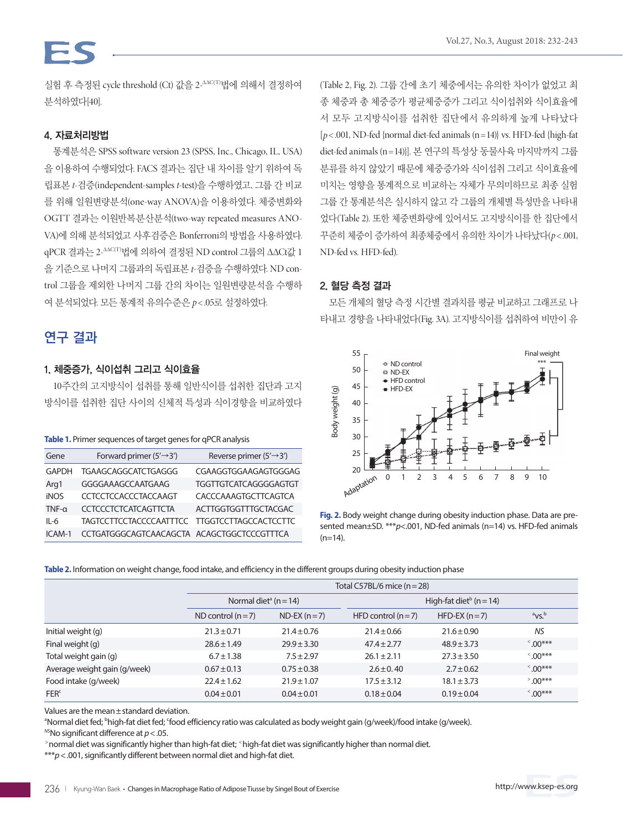실험 후 측정된 cycle threshold (Ct) 값을 2-ΔΔC(T)법에 의해서 결정하여 분석하였다[40].

### 4. 자료처리방법

통계분석은 SPSS software version 23 (SPSS, Inc., Chicago, IL, USA) 을 이용하여 수행되었다. FACS 결과는 집단 내 차이를 알기 위하여 독 립표본 *t*-검증(independent-samples *t*-test)을 수행하였고, 그룹 간 비교 를 위해 일원변량분석(one-way ANOVA)을 이용하였다. 체중변화와 OGTT 결과는 이원반복분산분석(two-way repeated measures ANO-VA)에 의해 분석되었고 사후검증은 Bonferroni의 방법을 사용하였다. qPCR 결과는 2-ΔΔC(T)법에 의하여 결정된 ND control 그룹의 ΔΔCt값 1 을 기준으로 나머지 그룹과의 독립표본 *t*-검증을 수행하였다. ND control 그룹을 제외한 나머지 그룹 간의 차이는 일원변량분석을 수행하 여 분석되었다. 모든 통계적 유의수준은 *p*< .05로 설정하였다.

## 연구 결과

### 1. 체중증가, 식이섭취 그리고 식이효율

10주간의 고지방식이 섭취를 통해 일반식이를 섭취한 집단과 고지 방식이를 섭취한 집단 사이의 신체적 특성과 식이경향을 비교하였다

|  |  | Table 1. Primer sequences of target genes for qPCR analysis |  |  |  |  |
|--|--|-------------------------------------------------------------|--|--|--|--|
|--|--|-------------------------------------------------------------|--|--|--|--|

| Gene         | Forward primer $(5' \rightarrow 3')$          | Reverse primer $(5' \rightarrow 3')$ |
|--------------|-----------------------------------------------|--------------------------------------|
| <b>GAPDH</b> | TGAAGCAGGCATCTGAGGG                           | CGAAGGTGGAAGAGTGGGAG                 |
| Arg1         | GGGGAAAGCCAATGAAG                             | <b>TGGTTGTCATCAGGGGAGTGT</b>         |
| <b>iNOS</b>  | <b>CCTCCTCCACCCTACCAAGT</b>                   | CACCCAAAGTGCTTCAGTCA                 |
| $TNF-\alpha$ | <b>CCTCCCTCTCATCAGTTCTA</b>                   | <b>ACTTGGTGGTTTGCTACGAC</b>          |
| $II - 6$     | TAGTCCTTCCTACCCCAATTTCC TTGGTCCTTAGCCACTCCTTC |                                      |
| $ICAM-1$     | CCTGATGGGCAGTCAACAGCTA ACAGCTGGCTCCCGTTTCA    |                                      |

(Table 2, Fig. 2). 그룹 간에 초기 체중에서는 유의한 차이가 없었고 최 종 체중과 총 체중증가 평균체중증가 그리고 식이섭취와 식이효율에 서 모두 고지방식이를 섭취한 집단에서 유의하게 높게 나타났다  $[p<.001, ND-fed$  {normal diet-fed animals (n = 14)} vs. HFD-fed {high-fat diet-fed animals (n =14)}]. 본 연구의 특성상 동물사육 마지막까지 그룹 분류를 하지 않았기 때문에 체중증가와 식이섭취 그리고 식이효율에 미치는 영향을 통계적으로 비교하는 자체가 무의미하므로 최종 실험 그룹 간 통계분석은 실시하지 않고 각 그룹의 개체별 특성만을 나타내 었다(Table 2). 또한 체중변화량에 있어서도 고지방식이를 한 집단에서 꾸준히 체중이 증가하여 최종체중에서 유의한 차이가 나타났다(*p*< .001, ND-fed vs. HFD-fed).

### 2. 혈당 측정 결과

모든 개체의 혈당 측정 시간별 결과치를 평균 비교하고 그래프로 나 타내고 경향을 나타내었다(Fig. 3A). 고지방식이를 섭취하여 비만이 유



**Fig. 2.** Body weight change during obesity induction phase. Data are presented mean±SD. \*\*\**p*<.001, ND-fed animals (n=14) vs. HFD-fed animals  $(n=14)$ .

**Table 2.** Information on weight change, food intake, and efficiency in the different groups during obesity induction phase

|                              | Total C57BL/6 mice $(n=28)$           |                  |                     |                                         |                      |  |  |
|------------------------------|---------------------------------------|------------------|---------------------|-----------------------------------------|----------------------|--|--|
|                              | Normal diet <sup>a</sup> ( $n = 14$ ) |                  |                     | High-fat diet <sup>b</sup> ( $n = 14$ ) |                      |  |  |
|                              | ND control $(n=7)$                    | $ND$ -EX $(n=7)$ | HFD control $(n=7)$ | $HFD-EX (n=7)$                          | $\mathrm{^{a}VS}$    |  |  |
| Initial weight (g)           | $21.3 \pm 0.71$                       | $21.4 \pm 0.76$  | $21.4 \pm 0.66$     | $21.6 \pm 0.90$                         | <b>NS</b>            |  |  |
| Final weight (g)             | $28.6 \pm 1.49$                       | $29.9 \pm 3.30$  | $47.4 \pm 2.77$     | $48.9 \pm 3.73$                         | $\frac{1}{2}$ .00*** |  |  |
| Total weight gain (g)        | $6.7 \pm 1.38$                        | $7.5 \pm 2.97$   | $26.1 \pm 2.11$     | $27.3 \pm 3.50$                         | $^{\circ}$ .00***    |  |  |
| Average weight gain (g/week) | $0.67 \pm 0.13$                       | $0.75 \pm 0.38$  | $2.6 \pm 0.40$      | $2.7 \pm 0.62$                          | $^{\times}$ .00***   |  |  |
| Food intake (g/week)         | $22.4 \pm 1.62$                       | $21.9 \pm 1.07$  | $17.5 \pm 3.12$     | $18.1 \pm 3.73$                         | $^{\circ}$ .00***    |  |  |
| FER <sup>c</sup>             | $0.04 \pm 0.01$                       | $0.04 \pm 0.01$  | $0.18 \pm 0.04$     | $0.19 \pm 0.04$                         | $\frac{500***}{500}$ |  |  |

Values are the mean±standard deviation.

<sup>a</sup>Normal diet fed; <sup>b</sup>high-fat diet fed; 'food efficiency ratio was calculated as body weight gain (g/week)/food intake (g/week).

<sup>NS</sup>No significant difference at *p* < .05.<br>>normal diet was significantly higher than high-fat diet; <sup><</sup>high-fat diet was significantly higher than normal diet.

\*\*\**p*<.001, significantly different between normal diet and high-fat diet.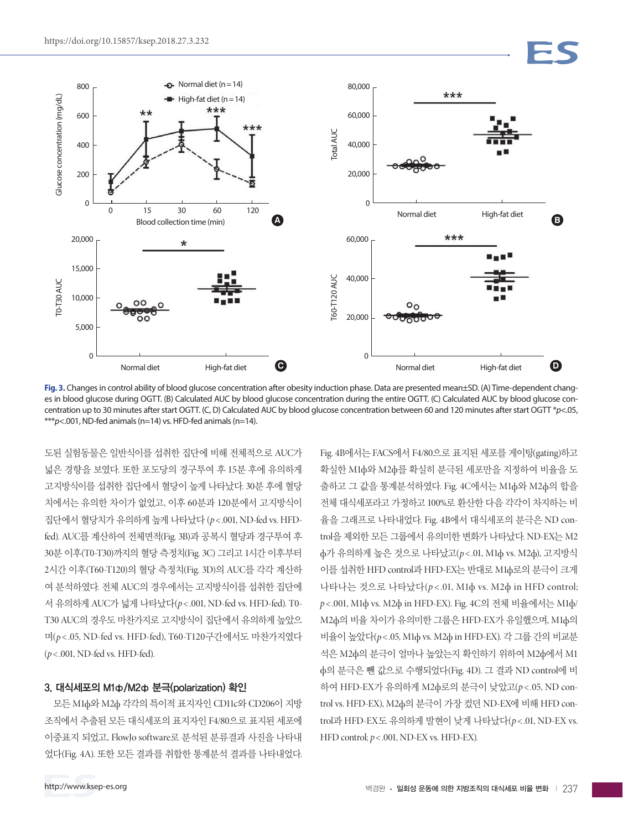

**Fig. 3.** Changes in control ability of blood glucose concentration after obesity induction phase. Data are presented mean±SD. (A) Time-dependent changes in blood glucose during OGTT. (B) Calculated AUC by blood glucose concentration during the entire OGTT. (C) Calculated AUC by blood glucose concentration up to 30 minutes after start OGTT. (C, D) Calculated AUC by blood glucose concentration between 60 and 120 minutes after start OGTT \**p*<.05, \*\*\**p*<.001, ND-fed animals (n=14) vs. HFD-fed animals (n=14).

도된 실험동물은 일반식이를 섭취한 집단에 비해 전체적으로 AUC가 넓은 경향을 보였다. 또한 포도당의 경구투여 후 15분 후에 유의하게 고지방식이를 섭취한 집단에서 혈당이 높게 나타났다. 30분 후에 혈당 치에서는 유의한 차이가 없었고, 이후 60분과 120분에서 고지방식이 집단에서 혈당치가 유의하게 높게 나타났다 (*p*< .001, ND-fed vs. HFDfed). AUC를 계산하여 전체면적(Fig. 3B)과 공복시 혈당과 경구투여 후 30분 이후(T0-T30)까지의 혈당 측정치(Fig. 3C) 그리고 1시간 이후부터 2시간 이후(T60-T120)의 혈당 측정치(Fig. 3D)의 AUC를 각각 계산하 여 분석하였다. 전체 AUC의 경우에서는 고지방식이를 섭취한 집단에 서 유의하게 AUC가 넓게 나타났다(*p*< .001, ND-fed vs. HFD-fed). T0- T30 AUC의 경우도 마찬가지로 고지방식이 집단에서 유의하게 높았으 며(*p* < .05, ND-fed vs. HFD-fed), T60-T120구간에서도 마찬가지였다 (*p*< .001, ND-fed vs. HFD-fed).

#### 3. 대식세포의 M1ф/M2ф 분극(polarization) 확인

모든 M1ф와 M2ф 각각의 특이적 표지자인 CD11c와 CD206이 지방 조직에서 추출된 모든 대식세포의 표지자인 F4/80으로 표지된 세포에 이중표지 되었고, FlowJo software로 분석된 분류결과 사진을 나타내 었다(Fig. 4A). 또한 모든 결과를 취합한 통계분석 결과를 나타내었다.

Fig. 4B에서는 FACS에서 F4/80으로 표지된 세포를 게이팅(gating)하고 확실한 M1ф와 M2ф를 확실히 분극된 세포만을 지정하여 비율을 도 출하고 그 값을 통계분석하였다. Fig. 4C에서는 M1ф와 M2ф의 합을 전체 대식세포라고 가정하고 100%로 환산한 다음 각각이 차지하는 비 율을 그래프로 나타내었다. Fig. 4B에서 대식세포의 분극은 ND control을 제외한 모든 그룹에서 유의미한 변화가 나타났다. ND-EX는 M2 ф가 유의하게 높은 것으로 나타났고(*p*< .01, M1ф vs. M2ф), 고지방식 이를 섭취한 HFD control과 HFD-EX는 반대로 M1ф로의 분극이 크게 나타나는 것으로 나타났다(*p* < .01, M1ф vs. M2ф in HFD control; *p*< .001, M1ф vs. M2ф in HFD-EX). Fig. 4C의 전체 비율에서는 M1ф/ M2ф의 비율 차이가 유의미한 그룹은 HFD-EX가 유일했으며, M1ф의 비율이 높았다(*p*< .05, M1ф vs. M2ф in HFD-EX). 각 그룹 간의 비교분 석은 M2ф의 분극이 얼마나 높았는지 확인하기 위하여 M2ф에서 M1 ф의 분극은 뺀 값으로 수행되었다(Fig. 4D). 그 결과 ND control에 비 하여 HFD-EX가 유의하게 M2ф로의 분극이 낮았고(*p*< .05, ND control vs. HFD-EX), M2ф의 분극이 가장 컸던 ND-EX에 비해 HFD control과 HFD-EX도 유의하게 발현이 낮게 나타났다(p<.01, ND-EX vs. HFD control; *p*< .001, ND-EX vs. HFD-EX).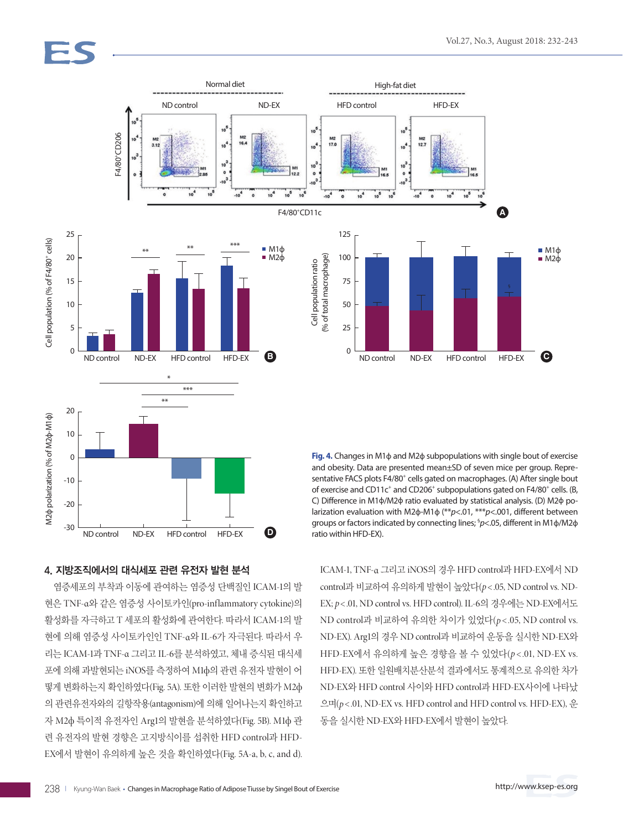Cell population (% of F4/80+ cells)

Cell population (% of F4/80<sup>+</sup> cells)

 $\overline{0}$ 

-10

M2ф polarization (% of M2ф-M1ф)

M2φ polarization (% of M2φ-M1φ)

-20

-30



**Fig. 4.** Changes in M1ф and M2ф subpopulations with single bout of exercise and obesity. Data are presented mean±SD of seven mice per group. Representative FACS plots F4/80<sup>+</sup> cells gated on macrophages. (A) After single bout of exercise and CD11c<sup>+</sup> and CD206<sup>+</sup> subpopulations gated on F4/80<sup>+</sup> cells. (B, C) Difference in M1ф/M2ф ratio evaluated by statistical analysis. (D) M2ф polarization evaluation with M2ф-M1ф (\*\**p*<.01, \*\*\**p*<.001, different between groups or factors indicated by connecting lines; § *p*<.05, different in M1ф/M2ф ratio within HFD-EX).

ICAM-1, TNF-α 그리고 iNOS의 경우 HFD control과 HFD-EX에서 ND control과 비교하여 유의하게 발현이 높았다(*p*< .05, ND control vs. ND-EX; *p*< .01, ND control vs. HFD control). IL-6의 경우에는 ND-EX에서도 ND control과 비교하여 유의한 차이가 있었다(*p* < .05, ND control vs. ND-EX). Arg1의 경우 ND control과 비교하여 운동을 실시한 ND-EX와 HFD-EX에서 유의하게 높은 경향을 볼 수 있었다(*p* < .01, ND-EX vs. HFD-EX). 또한 일원배치분산분석 결과에서도 통계적으로 유의한 차가 ND-EX와 HFD control 사이와 HFD control과 HFD-EX사이에 나타났 으며(*p*< .01, ND-EX vs. HFD control and HFD control vs. HFD-EX), 운 동을 실시한 ND-EX와 HFD-EX에서 발현이 높았다.

#### 4. 지방조직에서의 대식세포 관련 유전자 발현 분석

염증세포의 부착과 이동에 관여하는 염증성 단백질인 ICAM-1의 발 현은 TNF-α와 같은 염증성 사이토카인(pro-inflammatory cytokine)의 활성화를 자극하고 T 세포의 활성화에 관여한다. 따라서 ICAM-1의 발 현에 의해 염증성 사이토카인인 TNF-α와 IL-6가 자극된다. 따라서 우 리는 ICAM-1과 TNF-α 그리고 IL-6를 분석하였고, 체내 증식된 대식세 포에 의해 과발현되는 iNOS를 측정하여 M1ф의 관련 유전자 발현이 어 떻게 변화하는지 확인하였다(Fig. 5A). 또한 이러한 발현의 변화가 M2ф 의 관련유전자와의 길항작용(antagonism)에 의해 일어나는지 확인하고 자 M2ф 특이적 유전자인 Arg1의 발현을 분석하였다(Fig. 5B). M1ф 관 련 유전자의 발현 경향은 고지방식이를 섭취한 HFD control과 HFD-EX에서 발현이 유의하게 높은 것을 확인하였다(Fig. 5A-a, b, c, and d).

ND control ND-EX HFD control HFD-EX **D**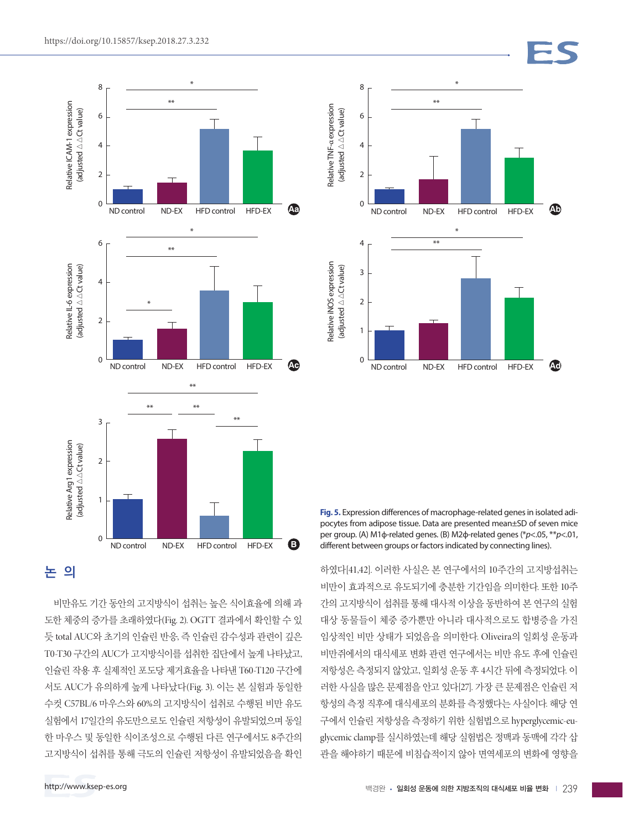

# 논 의

비만유도 기간 동안의 고지방식이 섭취는 높은 식이효율에 의해 과 도한 체중의 증가를 초래하였다(Fig. 2). OGTT 결과에서 확인할 수 있 듯 total AUC와 초기의 인슐린 반응, 즉 인슐린 감수성과 관련이 깊은 T0-T30 구간의 AUC가 고지방식이를 섭취한 집단에서 높게 나타났고, 인슐린 작용 후 실제적인 포도당 제거효율을 나타낸 T60-T120 구간에 서도 AUC가 유의하게 높게 나타났다(Fig. 3). 이는 본 실험과 동일한 수컷 C57BL/6 마우스와 60%의 고지방식이 섭취로 수행된 비만 유도 실험에서 17일간의 유도만으로도 인슐린 저항성이 유발되었으며 동일 한 마우스 및 동일한 식이조성으로 수행된 다른 연구에서도 8주간의 고지방식이 섭취를 통해 극도의 인슐린 저항성이 유발되었음을 확인



**Fig. 5.** Expression differences of macrophage-related genes in isolated adipocytes from adipose tissue. Data are presented mean±SD of seven mice per group. (A) M1ф-related genes. (B) M2ф-related genes (\**p*<.05, \*\**p*<.01, different between groups or factors indicated by connecting lines).

하였다[41,42]. 이러한 사실은 본 연구에서의 10주간의 고지방섭취는 비만이 효과적으로 유도되기에 충분한 기간임을 의미한다. 또한 10주 간의 고지방식이 섭취를 통해 대사적 이상을 동반하여 본 연구의 실험 대상 동물들이 체중 증가뿐만 아니라 대사적으로도 합병증을 가진 임상적인 비만 상태가 되었음을 의미한다. Oliveira의 일회성 운동과 비만쥐에서의 대식세포 변화 관련 연구에서는 비만 유도 후에 인슐린 저항성은 측정되지 않았고, 일회성 운동 후 4시간 뒤에 측정되었다. 이 러한 사실을 많은 문제점을 안고 있다[27]. 가장 큰 문제점은 인슐린 저 항성의 측정 직후에 대식세포의 분화를 측정했다는 사실이다. 해당 연 구에서 인슐린 저항성을 측정하기 위한 실험법으로 hyperglycemic-euglycemic clamp를 실시하였는데 해당 실험법은 정맥과 동맥에 각각 삽 관을 해야하기 때문에 비침습적이지 않아 면역세포의 변화에 영향을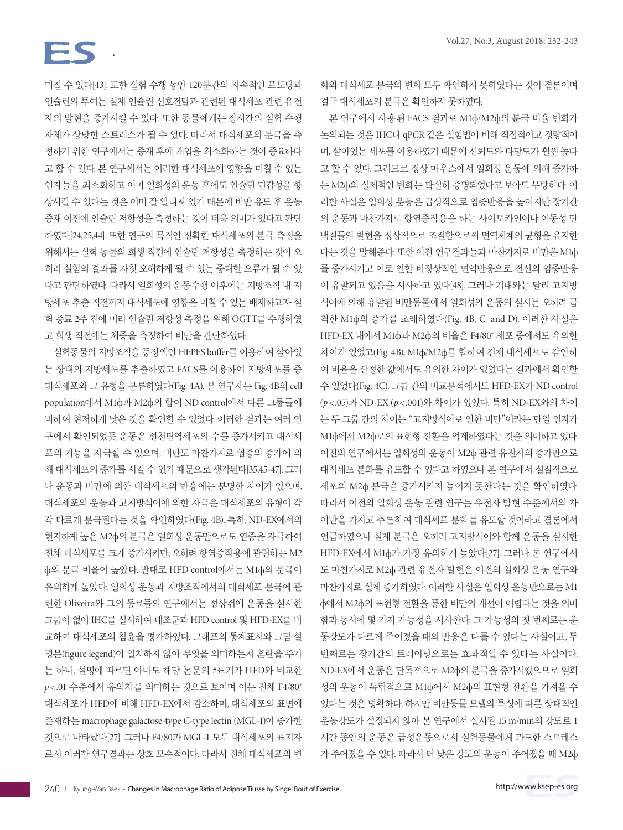# FS

미칠 수 있다[43]. 또한 실험 수행 동안 120분간의 지속적인 포도당과 인슐린의 투여는 실제 인슐린 신호전달과 관련된 대식세포 관련 유전 자의 발현을 증가시킬 수 있다. 또한 동물에게는 장시간의 실험 수행 자체가 상당한 스트레스가 될 수 있다. 따라서 대식세포의 분극을 측 정하기 위한 연구에서는 중재 후에 개입을 최소화하는 것이 중요하다 고 할 수 있다. 본 연구에서는 이러한 대식세포에 영향을 미칠 수 있는 인자들을 최소화하고 이미 일회성의 운동 후에도 인슐린 민감성을 향 상시킬 수 있다는 것은 이미 잘 알려져 있기 때문에 비만 유도 후 운동 중재 이전에 인슐린 저항성을 측정하는 것이 더욱 의미가 있다고 판단 하였다[24,25,44]. 또한 연구의 목적인 정확한 대식세포의 분극 측정을 위해서는 실험 동물의 희생 직전에 인슐린 저항성을 측정하는 것이 오 히려 실험의 결과를 자칫 오해하게 될 수 있는 중대한 오류가 될 수 있 다고 판단하였다. 따라서 일회성의 운동수행 이후에는 지방조직 내 지 방세포 추출 직전까지 대식세포에 영향을 미칠 수 있는 배제하고자 실 험 종료 2주 전에 미리 인슐린 저항성 측정을 위해 OGTT를 수행하였 고 희생 직전에는 체중을 측정하여 비만을 판단하였다.

실험동물의 지방조직을 등장액인 HEPES buffer를 이용하여 살아있 는 상태의 지방세포를 추출하였고 FACS를 이용하여 지방세포들 중 대식세포와 그 유형을 분류하였다(Fig. 4A). 본 연구자는 Fig. 4B의 cell population에서 M1ф과 M2ф의 합이 ND control에서 다른 그룹들에 비하여 현저하게 낮은 것을 확인할 수 있었다. 이러한 결과는 여러 연 구에서 확인되었듯 운동은 선천면역세포의 수를 증가시키고 대식세 포의 기능을 자극할 수 있으며, 비만도 마찬가지로 염증의 증가에 의 해 대식세포의 증가를 시킬 수 있기 때문으로 생각된다[35,45-47]. 그러 나 운동과 비만에 의한 대식세포의 반응에는 분명한 차이가 있으며, 대식세포의 운동과 고지방식이에 의한 자극은 대식세포의 유형이 각 각 다르게 분극된다는 것을 확인하였다(Fig. 4B). 특히, ND-EX에서의 현저하게 높은 M2ф의 분극은 일회성 운동만으로도 염증을 자극하여 전체 대식세포를 크게 증가시키만, 오히려 항염증작용에 관련하는 M2 ф의 분극 비율이 높았다. 반대로 HFD control에서는 M1ф의 분극이 유의하게 높았다. 일회성 운동과 지방조직에서의 대식세포 분극에 관 련한 Oliveira와 그의 동료들의 연구에서는 정상쥐에 운동을 실시한 그룹이 없이 IHC를 실시하여 대조군과 HFD control 및 HFD-EX를 비 교하여 대식세포의 침윤을 평가하였다. 그래프의 통계표시와 그림 설 명문(figure legend)이 일치하지 않아 무엇을 의미하는지 혼란을 주기 는 하나, 설명에 따르면 아마도 해당 논문의 #표기가 HFD와 비교한  $p < 01$  수준에서 유의차를 의미하는 것으로 보이며 이는 전체 F4/80<sup>+</sup> 대식세포가 HFD에 비해 HFD-EX에서 감소하며, 대식세포의 표면에 존재하는 macrophage galactose-type C-type lectin (MGL-1)이 증가한 것으로 나타났다[27]. 그러나 F4/80과 MGL-1 모두 대식세포의 표지자 로서 이러한 연구결과는 상호 모순적이다. 따라서 전체 대식세포의 변 화와 대식세포 분극의 변화 모두 확인하지 못하였다는 것이 결론이며 결국 대식세포의 분극은 확인하지 못하였다.

본 연구에서 사용된 FACS 결과로 M1ф/M2ф의 분극 비율 변화가 논의되는 것은 IHC나 qPCR 같은 실험법에 비해 직접적이고 정량적이 며, 살아있는 세포를 이용하였기 때문에 신뢰도와 타당도가 훨씬 높다 고 할 수 있다. 그러므로 정상 마우스에서 일회성 운동에 의해 증가하 는 M2ф의 실제적인 변화는 확실히 증명되었다고 보아도 무방하다. 이 러한 사실은 일회성 운동은 급성적으로 염증반응을 높이지만 장기간 의 운동과 마찬가지로 항염증작용을 하는 사이토카인이나 이동성 단 백질들의 발현을 정상적으로 조절함으로써 면역체계의 균형을 유지한 다는 것을 말해준다. 또한 이전 연구결과들과 마찬가지로 비만은 M1ф 를 증가시키고 이로 인한 비정상적인 면역반응으로 전신의 염증반응 이 유발되고 있음을 시사하고 있다[48]. 그러나 기대와는 달리 고지방 식이에 의해 유발된 비만동물에서 일회성의 운동의 실시는 오히려 급 격한 M1ф의 증가를 초래하였다(Fig. 4B, C, and D). 이러한 사실은 HFD-EX 내에서 M1ф과 M2ф의 비율은 F4/80+ 세포 중에서도 유의한 차이가 있었고(Fig. 4B), M1ф/M2ф를 합하여 전체 대식세포로 감안하 여 비율을 산정한 값에서도 유의한 차이가 있었다는 결과에서 확인할 수 있었다(Fig. 4C). 그룹 간의 비교분석에서도 HFD-EX가 ND control (*p*< .05)과 ND-EX (*p*< .001)와 차이가 있었다. 특히 ND-EX와의 차이 는 두 그룹 간의 차이는 "고지방식이로 인한 비만"이라는 단일 인자가 M1ф에서 M2ф로의 표현형 전환을 억제하였다는 것을 의미하고 있다. 이전의 연구에서는 일회성의 운동이 M2ф 관련 유전자의 증가만으로 대식세포 분화를 유도할 수 있다고 하였으나 본 연구에서 실질적으로 세포의 M2ф 분극을 증가시키지 높이지 못한다는 것을 확인하였다. 따라서 이전의 일회성 운동 관련 연구는 유전자 발현 수준에서의 차 이만을 가지고 추론하여 대식세포 분화를 유도할 것이라고 결론에서 언급하였으나 실제 분극은 오히려 고지방식이와 함께 운동을 실시한 HFD-EX에서 M1ф가 가장 유의하게 높았다[27]. 그러나 본 연구에서 도 마찬가지로 M2ф 관련 유전자 발현은 이전의 일회성 운동 연구와 마찬가지로 실제 증가하였다. 이러한 사실은 일회성 운동만으로는 M1 ф에서 M2ф의 표현형 전환을 통한 비만의 개선이 어렵다는 것을 의미 함과 동시에 몇 가지 가능성을 시사한다. 그 가능성의 첫 번째로는 운 동강도가 다르게 주어졌을 때의 반응은 다를 수 있다는 사실이고, 두 번째로는 장기간의 트레이닝으로는 효과적일 수 있다는 사실이다. ND-EX에서 운동은 단독적으로 M2ф의 분극을 증가시켰으므로 일회 성의 운동이 독립적으로 M1ф에서 M2ф의 표현형 전환을 가져올 수 있다는 것은 명확하다. 하지만 비만동물 모델의 특성에 따른 상대적인 운동강도가 설정되지 않아 본 연구에서 실시된 15 m/min의 강도로 1 시간 동안의 운동은 급성운동으로서 실험동물에게 과도한 스트레스 가 주어졌을 수 있다. 따라서 더 낮은 강도의 운동이 주어졌을 때 M2ф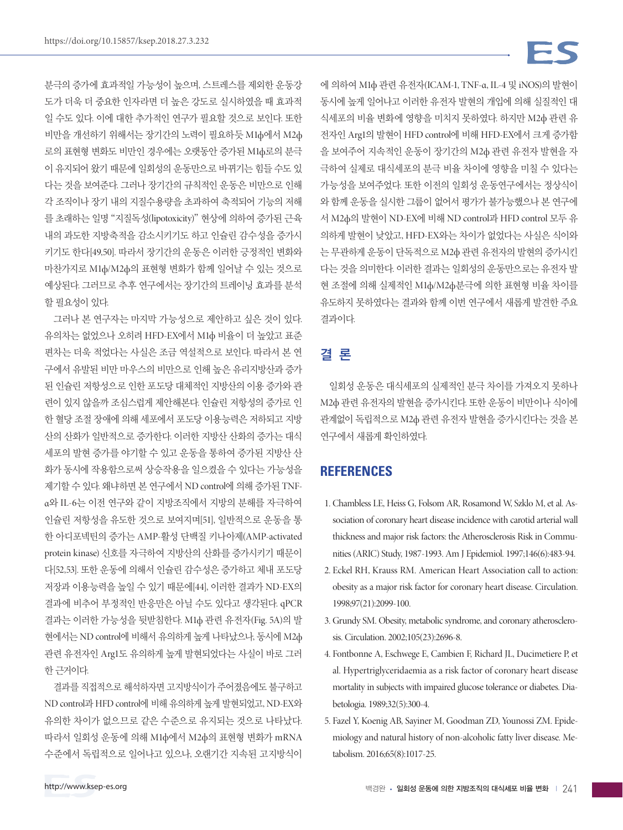분극의 증가에 효과적일 가능성이 높으며, 스트레스를 제외한 운동강 도가 더욱 더 중요한 인자라면 더 높은 강도로 실시하였을 때 효과적 일 수도 있다. 이에 대한 추가적인 연구가 필요할 것으로 보인다. 또한 비만을 개선하기 위해서는 장기간의 노력이 필요하듯 M1ф에서 M2ф 로의 표현형 변화도 비만인 경우에는 오랫동안 증가된 M1ф로의 분극 이 유지되어 왔기 때문에 일회성의 운동만으로 바뀌기는 힘들 수도 있 다는 것을 보여준다. 그러나 장기간의 규칙적인 운동은 비만으로 인해 각 조직이나 장기 내의 지질수용량을 초과하여 축적되어 기능의 저해 를 초래하는 일명 "지질독성(lipotoxicity)" 현상에 의하여 증가된 근육 내의 과도한 지방축적을 감소시키기도 하고 인슐린 감수성을 증가시 키기도 한다[49,50]. 따라서 장기간의 운동은 이러한 긍정적인 변화와 마찬가지로 M1ф/M2ф의 표현형 변화가 함께 일어날 수 있는 것으로 예상된다. 그러므로 추후 연구에서는 장기간의 트레이닝 효과를 분석 할 필요성이 있다.

그러나 본 연구자는 마지막 가능성으로 제안하고 싶은 것이 있다. 유의차는 없었으나 오히려 HFD-EX에서 M1ф 비율이 더 높았고 표준 편차는 더욱 적었다는 사실은 조금 역설적으로 보인다. 따라서 본 연 구에서 유발된 비만 마우스의 비만으로 인해 높은 유리지방산과 증가 된 인슐린 저항성으로 인한 포도당 대체적인 지방산의 이용 증가와 관 련이 있지 않을까 조심스럽게 제안해본다. 인슐린 저항성의 증가로 인 한 혈당 조절 장애에 의해 세포에서 포도당 이용능력은 저하되고 지방 산의 산화가 일반적으로 증가한다. 이러한 지방산 산화의 증가는 대식 세포의 발현 증가를 야기할 수 있고 운동을 통하여 증가된 지방산 산 화가 동시에 작용함으로써 상승작용을 일으켰을 수 있다는 가능성을 제기할 수 있다. 왜냐하면 본 연구에서 ND control에 의해 증가된 TNFα와 IL-6는 이전 연구와 같이 지방조직에서 지방의 분해를 자극하여 인슐린 저항성을 유도한 것으로 보여지며[51], 일반적으로 운동을 통 한 아디포넥틴의 증가는 AMP-활성 단백질 키나아제(AMP-activated protein kinase) 신호를 자극하여 지방산의 산화를 증가시키기 때문이 다[52,53]. 또한 운동에 의해서 인슐린 감수성은 증가하고 체내 포도당 저장과 이용능력을 높일 수 있기 때문에[44], 이러한 결과가 ND-EX의 결과에 비추어 부정적인 반응만은 아닐 수도 있다고 생각된다. qPCR 결과는 이러한 가능성을 뒷받침한다. M1ф 관련 유전자(Fig. 5A)의 발 현에서는 ND control에 비해서 유의하게 높게 나타났으나, 동시에 M2ф 관련 유전자인 Arg1도 유의하게 높게 발현되었다는 사실이 바로 그러 한 근거이다.

결과를 직접적으로 해석하자면 고지방식이가 주어졌음에도 불구하고 ND control과 HFD control에 비해 유의하게 높게 발현되었고, ND-EX와 유의한 차이가 없으므로 같은 수준으로 유지되는 것으로 나타났다. 따라서 일회성 운동에 의해 M1ф에서 M2ф의 표현형 변화가 mRNA 수준에서 독립적으로 일어나고 있으나, 오랜기간 지속된 고지방식이

에 의하여 M1ф 관련 유전자(ICAM-1, TNF-α, IL-4 및 iNOS)의 발현이 동시에 높게 일어나고 이러한 유전자 발현의 개입에 의해 실질적인 대 식세포의 비율 변화에 영향을 미치지 못하였다. 하지만 M2ф 관련 유 전자인 Arg1의 발현이 HFD control에 비해 HFD-EX에서 크게 증가함 을 보여주어 지속적인 운동이 장기간의 M2ф 관련 유전자 발현을 자 극하여 실제로 대식세포의 분극 비율 차이에 영향을 미칠 수 있다는 가능성을 보여주었다. 또한 이전의 일회성 운동연구에서는 정상식이 와 함께 운동을 실시한 그룹이 없어서 평가가 불가능했으나 본 연구에 서 M2ф의 발현이 ND-EX에 비해 ND control과 HFD control 모두 유 의하게 발현이 낮았고, HFD-EX와는 차이가 없었다는 사실은 식이와 는 무관하게 운동이 단독적으로 M2ф 관련 유전자의 발현의 증가시킨 다는 것을 의미한다. 이러한 결과는 일회성의 운동만으로는 유전자 발 현 조절에 의해 실제적인 M1ф/M2ф분극에 의한 표현형 비율 차이를 유도하지 못하였다는 결과와 함께 이번 연구에서 새롭게 발견한 주요 결과이다.

## 결 론

일회성 운동은 대식세포의 실제적인 분극 차이를 가져오지 못하나 M2ф 관련 유전자의 발현을 증가시킨다. 또한 운동이 비만이나 식이에 관계없이 독립적으로 M2ф 관련 유전자 발현을 증가시킨다는 것을 본 연구에서 새롭게 확인하였다.

## **REFERENCES**

- 1. Chambless LE, Heiss G, Folsom AR, Rosamond W, Szklo M, et al. Association of coronary heart disease incidence with carotid arterial wall thickness and major risk factors: the Atherosclerosis Risk in Communities (ARIC) Study, 1987-1993. Am J Epidemiol. 1997;146(6):483-94.
- 2. Eckel RH, Krauss RM. American Heart Association call to action: obesity as a major risk factor for coronary heart disease. Circulation. 1998;97(21):2099-100.
- 3. Grundy SM. Obesity, metabolic syndrome, and coronary atherosclerosis. Circulation. 2002;105(23):2696-8.
- 4. Fontbonne A, Eschwege E, Cambien F, Richard JL, Ducimetiere P, et al. Hypertriglyceridaemia as a risk factor of coronary heart disease mortality in subjects with impaired glucose tolerance or diabetes. Diabetologia. 1989;32(5):300-4.
- 5. Fazel Y, Koenig AB, Sayiner M, Goodman ZD, Younossi ZM. Epidemiology and natural history of non-alcoholic fatty liver disease. Metabolism. 2016;65(8):1017-25.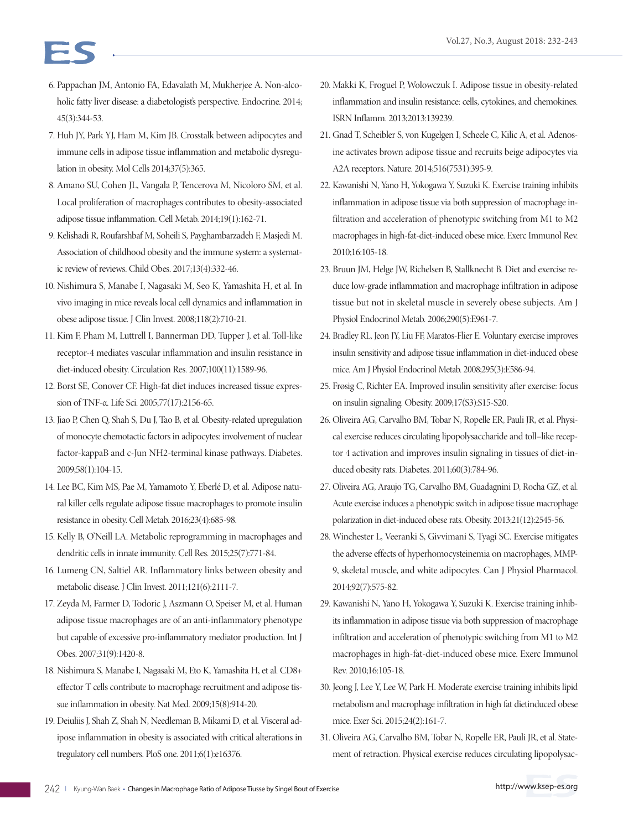- 6. Pappachan JM, Antonio FA, Edavalath M, Mukherjee A. Non-alcoholic fatty liver disease: a diabetologist's perspective. Endocrine. 2014; 45(3):344-53.
- 7. Huh JY, Park YJ, Ham M, Kim JB. Crosstalk between adipocytes and immune cells in adipose tissue inflammation and metabolic dysregulation in obesity. Mol Cells 2014;37(5):365.
- 8. Amano SU, Cohen JL, Vangala P, Tencerova M, Nicoloro SM, et al. Local proliferation of macrophages contributes to obesity-associated adipose tissue inflammation. Cell Metab. 2014;19(1):162-71.
- 9. Kelishadi R, Roufarshbaf M, Soheili S, Payghambarzadeh F, Masjedi M. Association of childhood obesity and the immune system: a systematic review of reviews. Child Obes. 2017;13(4):332-46.
- 10. Nishimura S, Manabe I, Nagasaki M, Seo K, Yamashita H, et al. In vivo imaging in mice reveals local cell dynamics and inflammation in obese adipose tissue. J Clin Invest. 2008;118(2):710-21.
- 11. Kim F, Pham M, Luttrell I, Bannerman DD, Tupper J, et al. Toll-like receptor-4 mediates vascular inflammation and insulin resistance in diet-induced obesity. Circulation Res. 2007;100(11):1589-96.
- 12. Borst SE, Conover CF. High-fat diet induces increased tissue expression of TNF-α. Life Sci. 2005;77(17):2156-65.
- 13. Jiao P, Chen Q, Shah S, Du J, Tao B, et al. Obesity-related upregulation of monocyte chemotactic factors in adipocytes: involvement of nuclear factor-kappaB and c-Jun NH2-terminal kinase pathways. Diabetes. 2009;58(1):104-15.
- 14. Lee BC, Kim MS, Pae M, Yamamoto Y, Eberlé D, et al. Adipose natural killer cells regulate adipose tissue macrophages to promote insulin resistance in obesity. Cell Metab. 2016;23(4):685-98.
- 15. Kelly B, O'Neill LA. Metabolic reprogramming in macrophages and dendritic cells in innate immunity. Cell Res. 2015;25(7):771-84.
- 16. Lumeng CN, Saltiel AR. Inflammatory links between obesity and metabolic disease. J Clin Invest. 2011;121(6):2111-7.
- 17. Zeyda M, Farmer D, Todoric J, Aszmann O, Speiser M, et al. Human adipose tissue macrophages are of an anti-inflammatory phenotype but capable of excessive pro-inflammatory mediator production. Int J Obes. 2007;31(9):1420-8.
- 18. Nishimura S, Manabe I, Nagasaki M, Eto K, Yamashita H, et al. CD8+ effector T cells contribute to macrophage recruitment and adipose tissue inflammation in obesity. Nat Med. 2009;15(8):914-20.
- 19. Deiuliis J, Shah Z, Shah N, Needleman B, Mikami D, et al. Visceral adipose inflammation in obesity is associated with critical alterations in tregulatory cell numbers. PloS one. 2011;6(1):e16376.
- 20. Makki K, Froguel P, Wolowczuk I. Adipose tissue in obesity-related inflammation and insulin resistance: cells, cytokines, and chemokines. ISRN Inflamm. 2013;2013:139239.
- 21. Gnad T, Scheibler S, von Kugelgen I, Scheele C, Kilic A, et al. Adenosine activates brown adipose tissue and recruits beige adipocytes via A2A receptors. Nature. 2014;516(7531):395-9.
- 22. Kawanishi N, Yano H, Yokogawa Y, Suzuki K. Exercise training inhibits inflammation in adipose tissue via both suppression of macrophage infiltration and acceleration of phenotypic switching from M1 to M2 macrophages in high-fat-diet-induced obese mice. Exerc Immunol Rev. 2010;16:105-18.
- 23. Bruun JM, Helge JW, Richelsen B, Stallknecht B. Diet and exercise reduce low-grade inflammation and macrophage infiltration in adipose tissue but not in skeletal muscle in severely obese subjects. Am J Physiol Endocrinol Metab. 2006;290(5):E961-7.
- 24. Bradley RL, Jeon JY, Liu FF, Maratos-Flier E. Voluntary exercise improves insulin sensitivity and adipose tissue inflammation in diet-induced obese mice. Am J Physiol Endocrinol Metab. 2008;295(3):E586-94.
- 25. Frøsig C, Richter EA. Improved insulin sensitivity after exercise: focus on insulin signaling. Obesity. 2009;17(S3):S15-S20.
- 26. Oliveira AG, Carvalho BM, Tobar N, Ropelle ER, Pauli JR, et al. Physical exercise reduces circulating lipopolysaccharide and toll–like receptor 4 activation and improves insulin signaling in tissues of diet-induced obesity rats. Diabetes. 2011;60(3):784-96.
- 27. Oliveira AG, Araujo TG, Carvalho BM, Guadagnini D, Rocha GZ, et al. Acute exercise induces a phenotypic switch in adipose tissue macrophage polarization in diet-induced obese rats. Obesity. 2013;21(12):2545-56.
- 28. Winchester L, Veeranki S, Givvimani S, Tyagi SC. Exercise mitigates the adverse effects of hyperhomocysteinemia on macrophages, MMP-9, skeletal muscle, and white adipocytes. Can J Physiol Pharmacol. 2014;92(7):575-82.
- 29. Kawanishi N, Yano H, Yokogawa Y, Suzuki K. Exercise training inhibits inflammation in adipose tissue via both suppression of macrophage infiltration and acceleration of phenotypic switching from M1 to M2 macrophages in high-fat-diet-induced obese mice. Exerc Immunol Rev. 2010;16:105-18.
- 30. Jeong J, Lee Y, Lee W, Park H. Moderate exercise training inhibits lipid metabolism and macrophage infiltration in high fat dietinduced obese mice. Exer Sci. 2015;24(2):161-7.
- 31. Oliveira AG, Carvalho BM, Tobar N, Ropelle ER, Pauli JR, et al. Statement of retraction. Physical exercise reduces circulating lipopolysac-